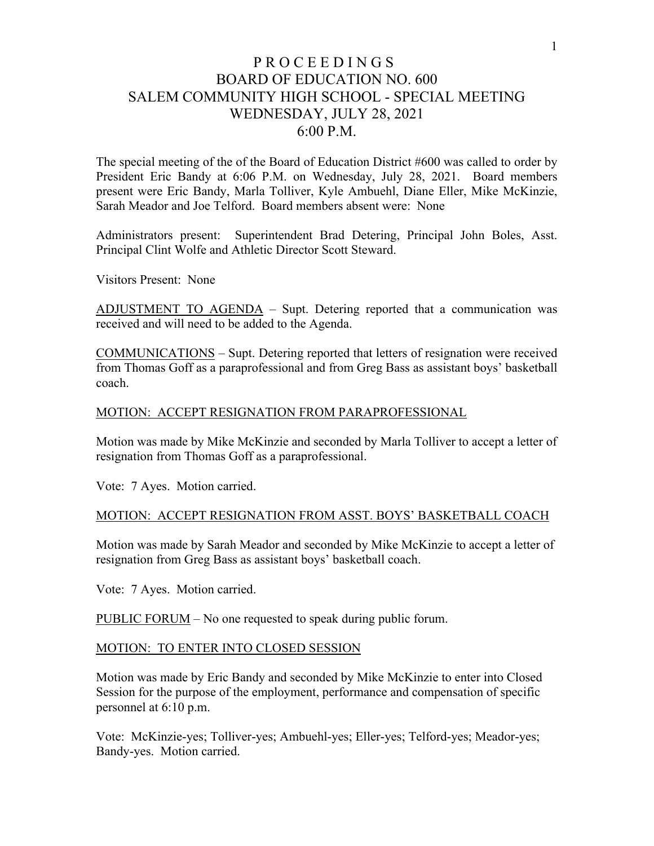# P R O C E E D I N G S BOARD OF EDUCATION NO. 600 SALEM COMMUNITY HIGH SCHOOL - SPECIAL MEETING WEDNESDAY, JULY 28, 2021 6:00 P.M.

The special meeting of the of the Board of Education District #600 was called to order by President Eric Bandy at 6:06 P.M. on Wednesday, July 28, 2021. Board members present were Eric Bandy, Marla Tolliver, Kyle Ambuehl, Diane Eller, Mike McKinzie, Sarah Meador and Joe Telford. Board members absent were: None

Administrators present: Superintendent Brad Detering, Principal John Boles, Asst. Principal Clint Wolfe and Athletic Director Scott Steward.

Visitors Present: None

ADJUSTMENT TO AGENDA – Supt. Detering reported that a communication was received and will need to be added to the Agenda.

COMMUNICATIONS – Supt. Detering reported that letters of resignation were received from Thomas Goff as a paraprofessional and from Greg Bass as assistant boys' basketball coach.

#### MOTION: ACCEPT RESIGNATION FROM PARAPROFESSIONAL

Motion was made by Mike McKinzie and seconded by Marla Tolliver to accept a letter of resignation from Thomas Goff as a paraprofessional.

Vote: 7 Ayes. Motion carried.

#### MOTION: ACCEPT RESIGNATION FROM ASST. BOYS' BASKETBALL COACH

Motion was made by Sarah Meador and seconded by Mike McKinzie to accept a letter of resignation from Greg Bass as assistant boys' basketball coach.

Vote: 7 Ayes. Motion carried.

PUBLIC FORUM – No one requested to speak during public forum.

#### MOTION: TO ENTER INTO CLOSED SESSION

Motion was made by Eric Bandy and seconded by Mike McKinzie to enter into Closed Session for the purpose of the employment, performance and compensation of specific personnel at 6:10 p.m.

Vote: McKinzie-yes; Tolliver-yes; Ambuehl-yes; Eller-yes; Telford-yes; Meador-yes; Bandy-yes. Motion carried.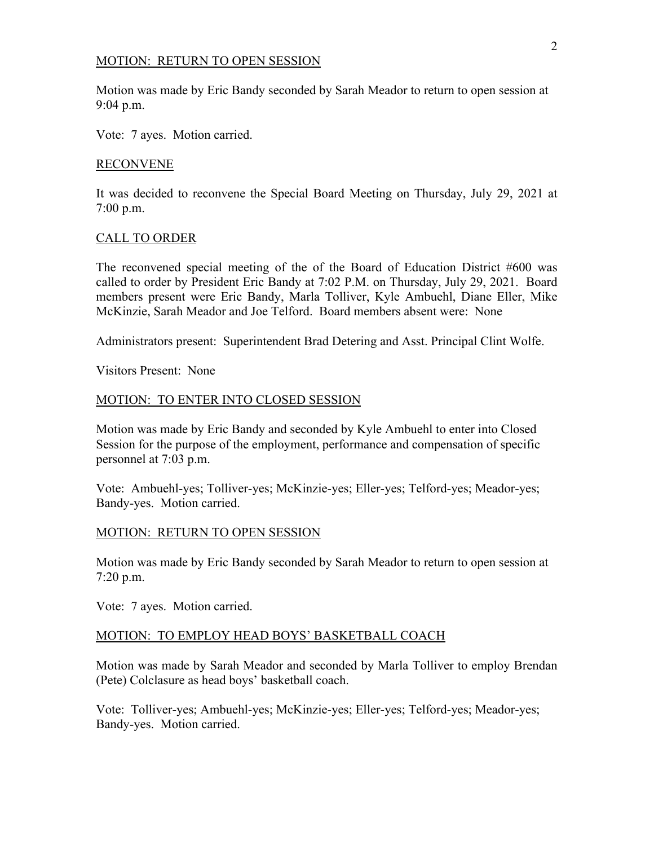#### MOTION: RETURN TO OPEN SESSION

Motion was made by Eric Bandy seconded by Sarah Meador to return to open session at 9:04 p.m.

Vote: 7 ayes. Motion carried.

### RECONVENE

It was decided to reconvene the Special Board Meeting on Thursday, July 29, 2021 at 7:00 p.m.

### CALL TO ORDER

The reconvened special meeting of the of the Board of Education District #600 was called to order by President Eric Bandy at 7:02 P.M. on Thursday, July 29, 2021. Board members present were Eric Bandy, Marla Tolliver, Kyle Ambuehl, Diane Eller, Mike McKinzie, Sarah Meador and Joe Telford. Board members absent were: None

Administrators present: Superintendent Brad Detering and Asst. Principal Clint Wolfe.

Visitors Present: None

### MOTION: TO ENTER INTO CLOSED SESSION

Motion was made by Eric Bandy and seconded by Kyle Ambuehl to enter into Closed Session for the purpose of the employment, performance and compensation of specific personnel at 7:03 p.m.

Vote: Ambuehl-yes; Tolliver-yes; McKinzie-yes; Eller-yes; Telford-yes; Meador-yes; Bandy-yes. Motion carried.

### MOTION: RETURN TO OPEN SESSION

Motion was made by Eric Bandy seconded by Sarah Meador to return to open session at 7:20 p.m.

Vote: 7 ayes. Motion carried.

### MOTION: TO EMPLOY HEAD BOYS' BASKETBALL COACH

Motion was made by Sarah Meador and seconded by Marla Tolliver to employ Brendan (Pete) Colclasure as head boys' basketball coach.

Vote: Tolliver-yes; Ambuehl-yes; McKinzie-yes; Eller-yes; Telford-yes; Meador-yes; Bandy-yes. Motion carried.